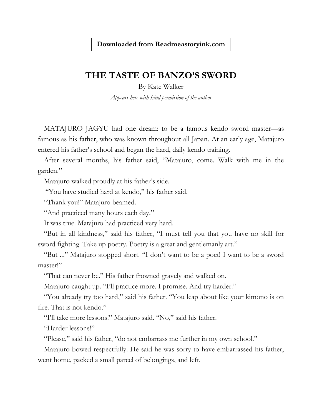## **Downloaded from Readmeastoryink.com**

## **THE TASTE OF BANZO'S SWORD**

By Kate Walker *Appears here with kind permission of the author*

MATAJURO JAGYU had one dream: to be a famous kendo sword master—as famous as his father, who was known throughout all Japan. At an early age, Matajuro entered his father's school and began the hard, daily kendo training.

After several months, his father said, "Matajuro, come. Walk with me in the garden."

Matajuro walked proudly at his father's side.

"You have studied hard at kendo," his father said.

"Thank you!" Matajuro beamed.

"And practiced many hours each day."

It was true. Matajuro had practiced very hard.

"But in all kindness," said his father, "I must tell you that you have no skill for sword fighting. Take up poetry. Poetry is a great and gentlemanly art."

"But ..." Matajuro stopped short. "I don't want to be a poet! I want to be a sword master!"

"That can never be." His father frowned gravely and walked on.

Matajuro caught up. "I'll practice more. I promise. And try harder."

"You already try too hard," said his father. "You leap about like your kimono is on fire. That is not kendo."

"I'll take more lessons!" Matajuro said. "No," said his father.

"Harder lessons!"

"Please," said his father, "do not embarrass me further in my own school."

Matajuro bowed respectfully. He said he was sorry to have embarrassed his father, went home, packed a small parcel of belongings, and left.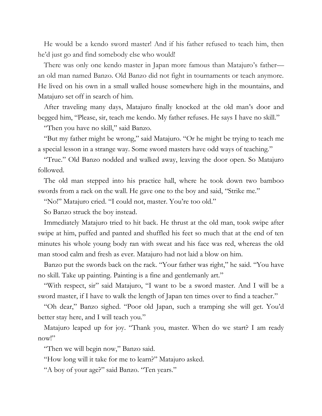He would be a kendo sword master! And if his father refused to teach him, then he'd just go and find somebody else who would!

There was only one kendo master in Japan more famous than Matajuro's father an old man named Banzo. Old Banzo did not fight in tournaments or teach anymore. He lived on his own in a small walled house somewhere high in the mountains, and Matajuro set off in search of him.

After traveling many days, Matajuro finally knocked at the old man's door and begged him, "Please, sir, teach me kendo. My father refuses. He says I have no skill."

"Then you have no skill," said Banzo.

"But my father might be wrong," said Matajuro. "Or he might be trying to teach me a special lesson in a strange way. Some sword masters have odd ways of teaching."

"True." Old Banzo nodded and walked away, leaving the door open. So Matajuro followed.

The old man stepped into his practice hall, where he took down two bamboo swords from a rack on the wall. He gave one to the boy and said, "Strike me."

"No!" Matajuro cried. "I could not, master. You're too old."

So Banzo struck the boy instead.

Immediately Matajuro tried to hit back. He thrust at the old man, took swipe after swipe at him, puffed and panted and shuffled his feet so much that at the end of ten minutes his whole young body ran with sweat and his face was red, whereas the old man stood calm and fresh as ever. Matajuro had not laid a blow on him.

Banzo put the swords back on the rack. "Your father was right," he said. "You have no skill. Take up painting. Painting is a fine and gentlemanly art."

"With respect, sir" said Matajuro, "I want to be a sword master. And I will be a sword master, if I have to walk the length of Japan ten times over to find a teacher."

"Oh dear," Banzo sighed. "Poor old Japan, such a tramping she will get. You'd better stay here, and I will teach you."

Matajuro leaped up for joy. "Thank you, master. When do we start? I am ready now!"

"Then we will begin now," Banzo said.

"How long will it take for me to learn?" Matajuro asked.

"A boy of your age?" said Banzo. "Ten years."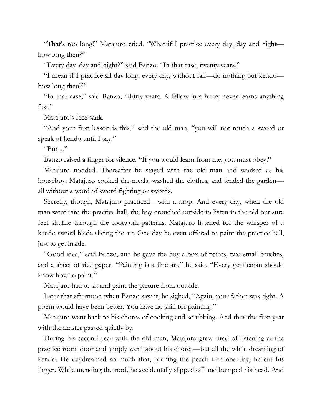"That's too long!" Matajuro cried. "What if I practice every day, day and night how long then?"

"Every day, day and night?" said Banzo. "In that case, twenty years."

"I mean if I practice all day long, every day, without fail—do nothing but kendo how long then?"

"In that case," said Banzo, "thirty years. A fellow in a hurry never learns anything fast."

Matajuro's face sank.

"And your first lesson is this," said the old man, "you will not touch a sword or speak of kendo until I say."

"But  $\ldots$ "

Banzo raised a finger for silence. "If you would learn from me, you must obey."

Matajuro nodded. Thereafter he stayed with the old man and worked as his houseboy. Matajuro cooked the meals, washed the clothes, and tended the garden all without a word of sword fighting or swords.

Secretly, though, Matajuro practiced—with a mop. And every day, when the old man went into the practice hall, the boy crouched outside to listen to the old but sure feet shuffle through the footwork patterns. Matajuro listened for the whisper of a kendo sword blade slicing the air. One day he even offered to paint the practice hall, just to get inside.

"Good idea," said Banzo, and he gave the boy a box of paints, two small brushes, and a sheet of rice paper. "Painting is a fine art," he said. "Every gentleman should know how to paint."

Matajuro had to sit and paint the picture from outside.

Later that afternoon when Banzo saw it, he sighed, "Again, your father was right. A poem would have been better. You have no skill for painting."

Matajuro went back to his chores of cooking and scrubbing. And thus the first year with the master passed quietly by.

During his second year with the old man, Matajuro grew tired of listening at the practice room door and simply went about his chores—but all the while dreaming of kendo. He daydreamed so much that, pruning the peach tree one day, he cut his finger. While mending the roof, he accidentally slipped off and bumped his head. And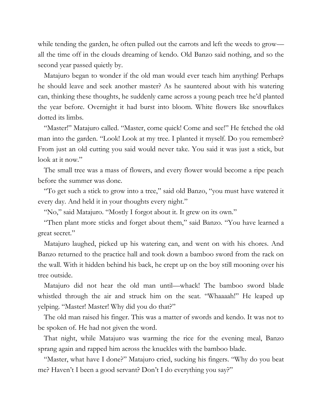while tending the garden, he often pulled out the carrots and left the weeds to grow all the time off in the clouds dreaming of kendo. Old Banzo said nothing, and so the second year passed quietly by.

Matajuro began to wonder if the old man would ever teach him anything! Perhaps he should leave and seek another master? As he sauntered about with his watering can, thinking these thoughts, he suddenly came across a young peach tree he'd planted the year before. Overnight it had burst into bloom. White flowers like snowflakes dotted its limbs.

"Master!" Matajuro called. "Master, come quick! Come and see!" He fetched the old man into the garden. "Look! Look at my tree. I planted it myself. Do you remember? From just an old cutting you said would never take. You said it was just a stick, but look at it now."

The small tree was a mass of flowers, and every flower would become a ripe peach before the summer was done.

"To get such a stick to grow into a tree," said old Banzo, "you must have watered it every day. And held it in your thoughts every night."

"No," said Matajuro. "Mostly I forgot about it. It grew on its own."

"Then plant more sticks and forget about them," said Banzo. "You have learned a great secret."

Matajuro laughed, picked up his watering can, and went on with his chores. And Banzo returned to the practice hall and took down a bamboo sword from the rack on the wall. With it hidden behind his back, he crept up on the boy still mooning over his tree outside.

Matajuro did not hear the old man until—whack! The bamboo sword blade whistled through the air and struck him on the seat. "Whaaaah!" He leaped up yelping. "Master! Master! Why did you do that?"

The old man raised his finger. This was a matter of swords and kendo. It was not to be spoken of. He had not given the word.

That night, while Matajuro was warming the rice for the evening meal, Banzo sprang again and rapped him across the knuckles with the bamboo blade.

"Master, what have I done?" Matajuro cried, sucking his fingers. "Why do you beat me? Haven't I been a good servant? Don't I do everything you say?"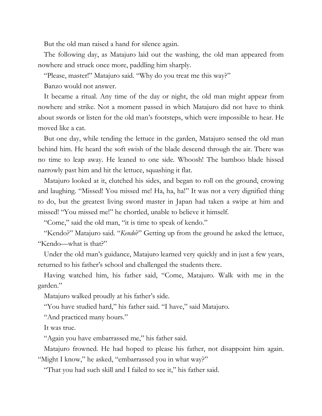But the old man raised a hand for silence again.

The following day, as Matajuro laid out the washing, the old man appeared from nowhere and struck once more, paddling him sharply.

"Please, master!" Matajuro said. "Why do you treat me this way?"

Banzo would not answer.

It became a ritual. Any time of the day or night, the old man might appear from nowhere and strike. Not a moment passed in which Matajuro did not have to think about swords or listen for the old man's footsteps, which were impossible to hear. He moved like a cat.

But one day, while tending the lettuce in the garden, Matajuro sensed the old man behind him. He heard the soft swish of the blade descend through the air. There was no time to leap away. He leaned to one side. Whoosh! The bamboo blade hissed narrowly past him and hit the lettuce, squashing it flat.

Matajuro looked at it, clutched his sides, and began to roll on the ground, crowing and laughing. "Missed! You missed me! Ha, ha, ha!" It was not a very dignified thing to do, but the greatest living sword master in Japan had taken a swipe at him and missed! "You missed me!" he chortled, unable to believe it himself.

"Come," said the old man, "it is time to speak of kendo."

"Kendo?" Matajuro said. "*Kendo*?" Getting up from the ground he asked the lettuce, "Kendo—what is that?"

Under the old man's guidance, Matajuro learned very quickly and in just a few years, returned to his father's school and challenged the students there.

Having watched him, his father said, "Come, Matajuro. Walk with me in the garden."

Matajuro walked proudly at his father's side.

"You have studied hard," his father said. "I have," said Matajuro.

"And practiced many hours."

It was true.

"Again you have embarrassed me," his father said.

Matajuro frowned. He had hoped to please his father, not disappoint him again. "Might I know," he asked, "embarrassed you in what way?"

"That you had such skill and I failed to see it," his father said.